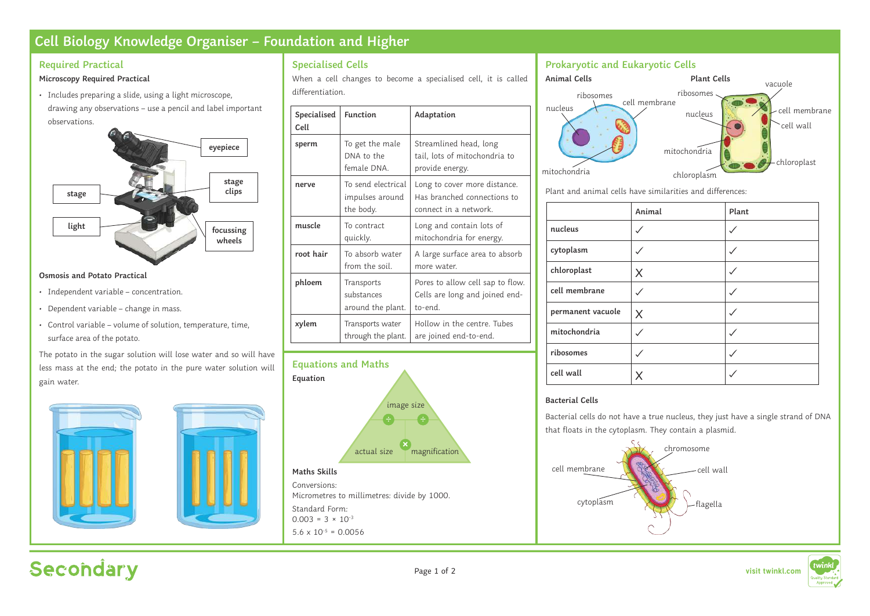# **Cell Biology Knowledge Organiser – Foundation and Higher**

# **Required Practical**

# **Microscopy Required Practical**

• Includes preparing a slide, using a light microscope, drawing any observations – use a pencil and label important observations.



#### **Osmosis and Potato Practical**

- Independent variable concentration.
- Dependent variable change in mass.
- Control variable volume of solution, temperature, time, surface area of the potato.

The potato in the sugar solution will lose water and so will have less mass at the end; the potato in the pure water solution will gain water.



# **Specialised Cells**

When a cell changes to become a specialised cell, it is called differentiation.

| Specialised<br>Cell | <b>Function</b>                                    | Adaptation                                                                           |
|---------------------|----------------------------------------------------|--------------------------------------------------------------------------------------|
| sperm               | To get the male<br>DNA to the<br>female DNA.       | Streamlined head, long<br>tail, lots of mitochondria to<br>provide energy.           |
| nerve               | To send electrical<br>impulses around<br>the body. | Long to cover more distance.<br>Has branched connections to<br>connect in a network. |
| muscle              | To contract<br>quickly.                            | Long and contain lots of<br>mitochondria for energy.                                 |
| root hair           | To absorb water<br>from the soil.                  | A large surface area to absorb<br>more water.                                        |
| phloem              | Transports<br>substances<br>around the plant.      | Pores to allow cell sap to flow.<br>Cells are long and joined end-<br>to-end.        |
| xylem               | Transports water<br>through the plant.             | Hollow in the centre. Tubes<br>are joined end-to-end.                                |



Conversions: Micrometres to millimetres: divide by 1000. Standard Form:  $0.003 = 3 \times 10^{-3}$  $5.6 \times 10^{-5} = 0.0056$ 

# **Prokaryotic and Eukaryotic Cells**



Plant and animal cells have similarities and differences:

|                   | Animal | Plant |
|-------------------|--------|-------|
| nucleus           |        |       |
| cytoplasm         |        |       |
| chloroplast       | X      |       |
| cell membrane     |        |       |
| permanent vacuole | X      |       |
| mitochondria      |        |       |
| ribosomes         |        |       |
| cell wall         |        |       |

# **Bacterial Cells**

Bacterial cells do not have a true nucleus, they just have a single strand of DNA that floats in the cytoplasm. They contain a plasmid.